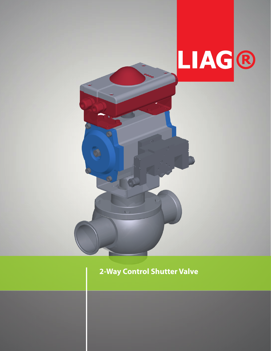

# 2-Way Control Shutter Valve

O)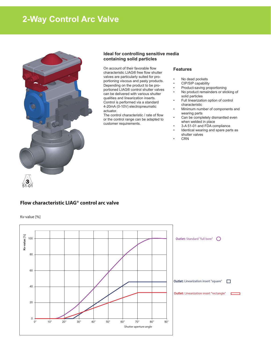# **2-Way Control Arc Valve**



### **Ideal for controlling sensitive media containing solid particles**

On account of their favorable flow characteristic LIAG® free flow shutter valves are particularly suited for proportioning viscous and pasty products. Depending on the product to be proportioned LIAG® control shutter valves can be delivered with various shutter qualities and linearization inserts. Control is performed via a standard 4-20mA (0-10V) electropneumatic actuator.

The control characteristic / rate of flow or the control range can be adapted to customer requirements.

### **Features**

- No dead pockets
- CIP/SIP capability<br>• Product-saving pro
- Product-saving proportioning
- No product remainders or sticking of solid particles
- Full linearization option of control characteristic
- Minimum number of components and wearing parts
- Can be completely dismantled even when welded in place
- 3-A 51-01 and FDA compliance
- Identical wearing and spare parts as shutter valves
- CRN

## **Flow characteristic LIAG® control arc valve**

Kv-value [%]